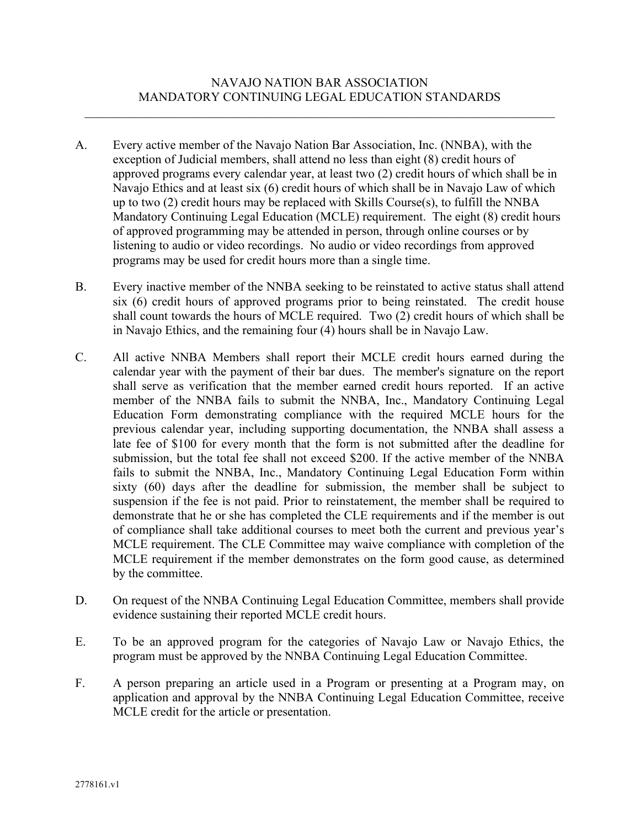- A. Every active member of the Navajo Nation Bar Association, Inc. (NNBA), with the exception of Judicial members, shall attend no less than eight (8) credit hours of approved programs every calendar year, at least two (2) credit hours of which shall be in Navajo Ethics and at least six (6) credit hours of which shall be in Navajo Law of which up to two (2) credit hours may be replaced with Skills Course(s), to fulfill the NNBA Mandatory Continuing Legal Education (MCLE) requirement. The eight (8) credit hours of approved programming may be attended in person, through online courses or by listening to audio or video recordings. No audio or video recordings from approved programs may be used for credit hours more than a single time.
- B. Every inactive member of the NNBA seeking to be reinstated to active status shall attend six (6) credit hours of approved programs prior to being reinstated. The credit house shall count towards the hours of MCLE required. Two (2) credit hours of which shall be in Navajo Ethics, and the remaining four (4) hours shall be in Navajo Law.
- C. All active NNBA Members shall report their MCLE credit hours earned during the calendar year with the payment of their bar dues. The member's signature on the report shall serve as verification that the member earned credit hours reported. If an active member of the NNBA fails to submit the NNBA, Inc., Mandatory Continuing Legal Education Form demonstrating compliance with the required MCLE hours for the previous calendar year, including supporting documentation, the NNBA shall assess a late fee of \$100 for every month that the form is not submitted after the deadline for submission, but the total fee shall not exceed \$200. If the active member of the NNBA fails to submit the NNBA, Inc., Mandatory Continuing Legal Education Form within sixty (60) days after the deadline for submission, the member shall be subject to suspension if the fee is not paid. Prior to reinstatement, the member shall be required to demonstrate that he or she has completed the CLE requirements and if the member is out of compliance shall take additional courses to meet both the current and previous year's MCLE requirement. The CLE Committee may waive compliance with completion of the MCLE requirement if the member demonstrates on the form good cause, as determined by the committee.
- D. On request of the NNBA Continuing Legal Education Committee, members shall provide evidence sustaining their reported MCLE credit hours.
- E. To be an approved program for the categories of Navajo Law or Navajo Ethics, the program must be approved by the NNBA Continuing Legal Education Committee.
- F. A person preparing an article used in a Program or presenting at a Program may, on application and approval by the NNBA Continuing Legal Education Committee, receive MCLE credit for the article or presentation.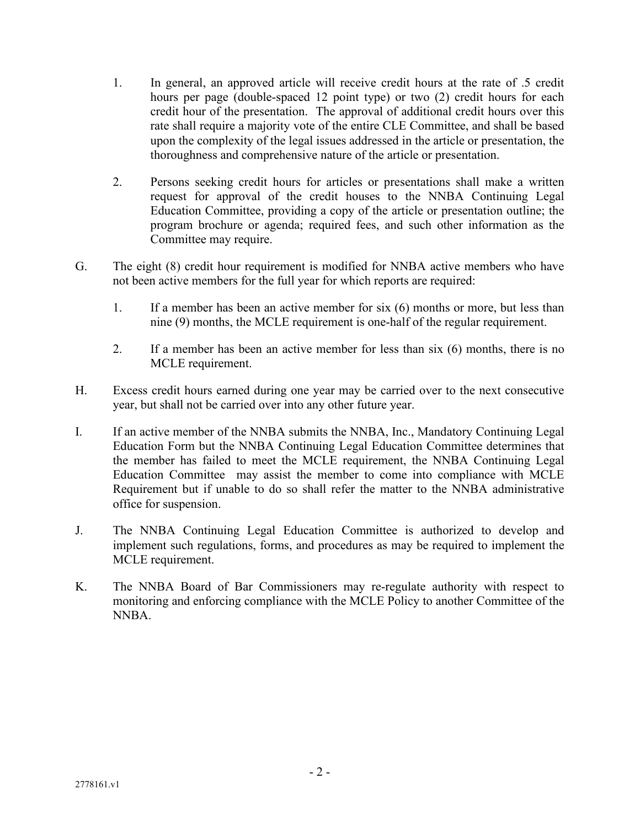- 1. In general, an approved article will receive credit hours at the rate of .5 credit hours per page (double-spaced 12 point type) or two (2) credit hours for each credit hour of the presentation. The approval of additional credit hours over this rate shall require a majority vote of the entire CLE Committee, and shall be based upon the complexity of the legal issues addressed in the article or presentation, the thoroughness and comprehensive nature of the article or presentation.
- 2. Persons seeking credit hours for articles or presentations shall make a written request for approval of the credit houses to the NNBA Continuing Legal Education Committee, providing a copy of the article or presentation outline; the program brochure or agenda; required fees, and such other information as the Committee may require.
- G. The eight (8) credit hour requirement is modified for NNBA active members who have not been active members for the full year for which reports are required:
	- 1. If a member has been an active member for six (6) months or more, but less than nine (9) months, the MCLE requirement is one-half of the regular requirement.
	- 2. If a member has been an active member for less than six (6) months, there is no MCLE requirement.
- H. Excess credit hours earned during one year may be carried over to the next consecutive year, but shall not be carried over into any other future year.
- I. If an active member of the NNBA submits the NNBA, Inc., Mandatory Continuing Legal Education Form but the NNBA Continuing Legal Education Committee determines that the member has failed to meet the MCLE requirement, the NNBA Continuing Legal Education Committee may assist the member to come into compliance with MCLE Requirement but if unable to do so shall refer the matter to the NNBA administrative office for suspension.
- J. The NNBA Continuing Legal Education Committee is authorized to develop and implement such regulations, forms, and procedures as may be required to implement the MCLE requirement.
- K. The NNBA Board of Bar Commissioners may re-regulate authority with respect to monitoring and enforcing compliance with the MCLE Policy to another Committee of the NNBA.